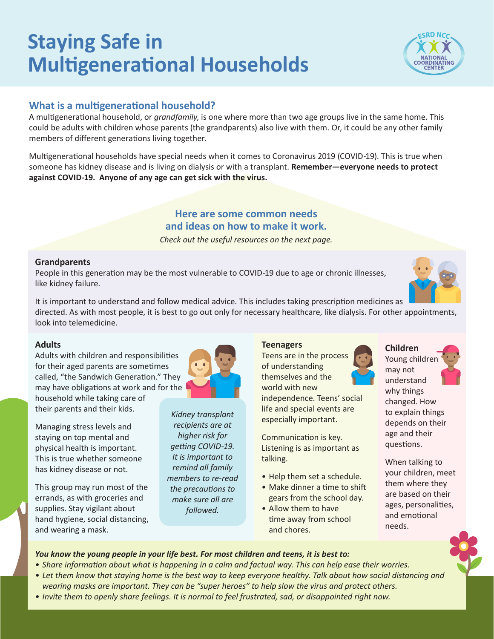# **Staying Safe in Multigenerational Households**

# **What is a multigenerational household?**

A multigenerational household, or *grandfamily*, is one where more than two age groups live in the same home. This could be adults with children whose parents (the grandparents) also live with them. Or, it could be any other family members of different generations living together.

Multigenerational households have special needs when it comes to Coronavirus 2019 (COVID-19). This is true when someone has kidney disease and is living on dialysis or with a transplant. **Remember—everyone needs to protect against COVID-19. Anyone of any age can get sick with the virus.** 

# **Here are some common needs and ideas on how to make it work.**

*Check out the useful resources on the next page.*

### **Grandparents**

People in this generation may be the most vulnerable to COVID-19 due to age or chronic illnesses, like kidney failure.

It is important to understand and follow medical advice. This includes taking prescription medicines as directed. As with most people, it is best to go out only for necessary healthcare, like dialysis. For other appointments, look into telemedicine.

### **Adults**

Adults with children and responsibilities called, "the Sandwich Generation." They may have obligations at work and for the

Managing stress levels and staying on top mental and physical health is important. This is true whether someone

has kidney disease or not.

household while taking care of their parents and their kids.

for their aged parents are sometimes

This group may run most of the errands, as with groceries and supplies. Stay vigilant about hand hygiene, social distancing, and wearing a mask.



## **Teenagers**

Teens are in the process of understanding themselves and the

world with new independence. Teens' social life and special events are especially important.

Communication is key. Listening is as important as talking.

- Help them set a schedule.
- Make dinner a time to shift gears from the school day.
- Allow them to have time away from school and chores.





When talking to your children, meet them where they are based on their ages, personalities, and emotional needs.

### *You know the young people in your life best. For most children and teens, it is best to:*

- Share information about what is happening in a calm and factual way. This can help ease their worries.
- Let them know that staying home is the best way to keep everyone healthy. Talk about how social distancing and *wearing masks are important. They can be "super heroes" to help slow the virus and protect others.*
- *• Invite them to openly share feelings. It is normal to feel frustrated, sad, or disappointed right now.*